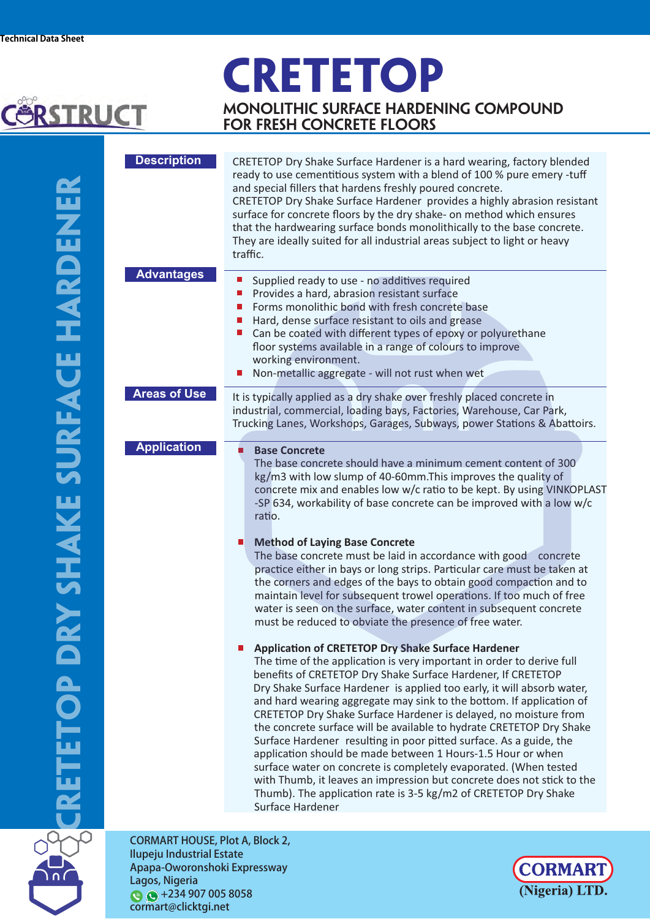## **CRETETOP**



**Monolithic surface hardening compound for fresh concrete floors**

| <b>Description</b>                     | CRETETOP Dry Shake Surface Hardener is a hard wearing, factory blended<br>ready to use cementitious system with a blend of 100 % pure emery -tuff<br>and special fillers that hardens freshly poured concrete.<br>CRETETOP Dry Shake Surface Hardener provides a highly abrasion resistant<br>surface for concrete floors by the dry shake- on method which ensures<br>that the hardwearing surface bonds monolithically to the base concrete.<br>They are ideally suited for all industrial areas subject to light or heavy<br>traffic.                                                                                                                                                                                                                                                                                                                                                                                                                                                                                                                                                                                                                                                                                                                                                                                                                                                                                                                                                                                                                                                                                                                                          |  |  |  |  |
|----------------------------------------|-----------------------------------------------------------------------------------------------------------------------------------------------------------------------------------------------------------------------------------------------------------------------------------------------------------------------------------------------------------------------------------------------------------------------------------------------------------------------------------------------------------------------------------------------------------------------------------------------------------------------------------------------------------------------------------------------------------------------------------------------------------------------------------------------------------------------------------------------------------------------------------------------------------------------------------------------------------------------------------------------------------------------------------------------------------------------------------------------------------------------------------------------------------------------------------------------------------------------------------------------------------------------------------------------------------------------------------------------------------------------------------------------------------------------------------------------------------------------------------------------------------------------------------------------------------------------------------------------------------------------------------------------------------------------------------|--|--|--|--|
| <b>Advantages</b>                      | Supplied ready to use - no additives required<br>Provides a hard, abrasion resistant surface<br>$\mathbb{R}^n$<br>Forms monolithic bond with fresh concrete base<br>Ш<br>Hard, dense surface resistant to oils and grease<br>$\mathbb{Z}^2$<br>Can be coated with different types of epoxy or polyurethane<br>ш<br>floor systems available in a range of colours to improve<br>working environment.<br>Non-metallic aggregate - will not rust when wet                                                                                                                                                                                                                                                                                                                                                                                                                                                                                                                                                                                                                                                                                                                                                                                                                                                                                                                                                                                                                                                                                                                                                                                                                            |  |  |  |  |
| <b>Areas of Use</b>                    | It is typically applied as a dry shake over freshly placed concrete in<br>industrial, commercial, loading bays, Factories, Warehouse, Car Park,<br>Trucking Lanes, Workshops, Garages, Subways, power Stations & Abattoirs.                                                                                                                                                                                                                                                                                                                                                                                                                                                                                                                                                                                                                                                                                                                                                                                                                                                                                                                                                                                                                                                                                                                                                                                                                                                                                                                                                                                                                                                       |  |  |  |  |
| <b>Application</b>                     | π<br><b>Base Concrete</b><br>The base concrete should have a minimum cement content of 300<br>kg/m3 with low slump of 40-60mm. This improves the quality of<br>concrete mix and enables low w/c ratio to be kept. By using VINKOPLAST<br>-SP 634, workability of base concrete can be improved with a low w/c<br>ratio.<br>n.<br><b>Method of Laying Base Concrete</b><br>The base concrete must be laid in accordance with good concrete<br>practice either in bays or long strips. Particular care must be taken at<br>the corners and edges of the bays to obtain good compaction and to<br>maintain level for subsequent trowel operations. If too much of free<br>water is seen on the surface, water content in subsequent concrete<br>must be reduced to obviate the presence of free water.<br><b>Application of CRETETOP Dry Shake Surface Hardener</b><br>The time of the application is very important in order to derive full<br>benefits of CRETETOP Dry Shake Surface Hardener, If CRETETOP<br>Dry Shake Surface Hardener is applied too early, it will absorb water,<br>and hard wearing aggregate may sink to the bottom. If application of<br>CRETETOP Dry Shake Surface Hardener is delayed, no moisture from<br>the concrete surface will be available to hydrate CRETETOP Dry Shake<br>Surface Hardener resulting in poor pitted surface. As a guide, the<br>application should be made between 1 Hours-1.5 Hour or when<br>surface water on concrete is completely evaporated. (When tested<br>with Thumb, it leaves an impression but concrete does not stick to the<br>Thumb). The application rate is 3-5 kg/m2 of CRETETOP Dry Shake<br>Surface Hardener |  |  |  |  |
| <b>CORMART HOUSE, Plot A, Block 2,</b> |                                                                                                                                                                                                                                                                                                                                                                                                                                                                                                                                                                                                                                                                                                                                                                                                                                                                                                                                                                                                                                                                                                                                                                                                                                                                                                                                                                                                                                                                                                                                                                                                                                                                                   |  |  |  |  |
| <b>Ilupeju Industrial Estate</b>       |                                                                                                                                                                                                                                                                                                                                                                                                                                                                                                                                                                                                                                                                                                                                                                                                                                                                                                                                                                                                                                                                                                                                                                                                                                                                                                                                                                                                                                                                                                                                                                                                                                                                                   |  |  |  |  |



Apapa-Oworonshoki Expressway Lagos, Nigeria  $\bigcirc$  +234 907 005 8058 cormart@clicktgi.net